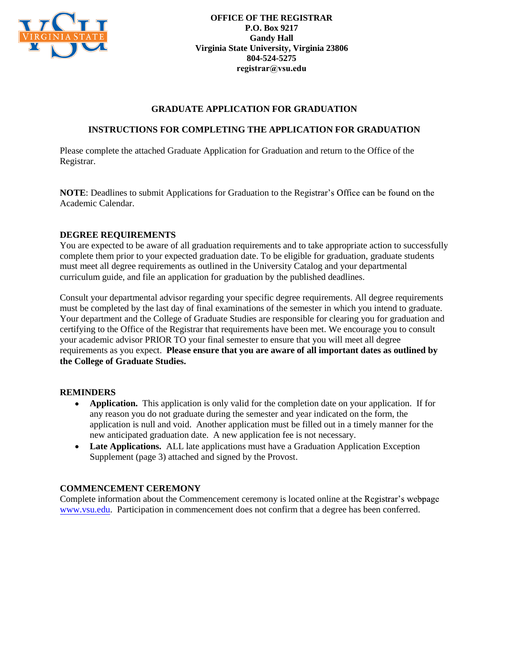

**OFFICE OF THE REGISTRAR P.O. Box 9217 Gandy Hall Virginia State University, Virginia 23806 804-524-5275 registrar@vsu.edu**

### **GRADUATE APPLICATION FOR GRADUATION**

### **INSTRUCTIONS FOR COMPLETING THE APPLICATION FOR GRADUATION**

Please complete the attached Graduate Application for Graduation and return to the Office of the Registrar.

**NOTE:** Deadlines to submit Applications for Graduation to the Registrar's Office can be found on the Academic Calendar.

#### **DEGREE REQUIREMENTS**

You are expected to be aware of all graduation requirements and to take appropriate action to successfully complete them prior to your expected graduation date. To be eligible for graduation, graduate students must meet all degree requirements as outlined in the University Catalog and your departmental curriculum guide, and file an application for graduation by the published deadlines.

Consult your departmental advisor regarding your specific degree requirements. All degree requirements must be completed by the last day of final examinations of the semester in which you intend to graduate. Your department and the College of Graduate Studies are responsible for clearing you for graduation and certifying to the Office of the Registrar that requirements have been met. We encourage you to consult your academic advisor PRIOR TO your final semester to ensure that you will meet all degree requirements as you expect. **Please ensure that you are aware of all important dates as outlined by the College of Graduate Studies.** 

#### **REMINDERS**

- **Application.** This application is only valid for the completion date on your application. If for  $\bullet$ any reason you do not graduate during the semester and year indicated on the form, the application is null and void. Another application must be filled out in a timely manner for the new anticipated graduation date. A new application fee is not necessary.
- **Late Applications.** ALL late applications must have a Graduation Application Exception Supplement (page 3) attached and signed by the Provost.

#### **COMMENCEMENT CEREMONY**

Complete information about the Commencement ceremony is located online at the Registrar's webpage www.vsu.edu. Participation in commencement does not confirm that a degree has been conferred.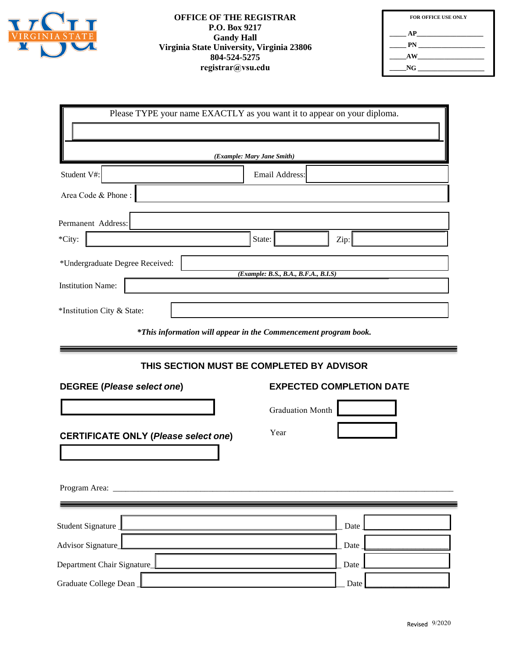

#### **OFFICE OF THE REGISTRAR P.O. Box 9217 Gandy Hall Virginia State University, Virginia 23806 804-524-5275 registrar@vsu.edu**

| <b>FOR OFFICE USE ONLY</b> |  |
|----------------------------|--|
| AP                         |  |
| PN                         |  |
| AW                         |  |
| NG.                        |  |

| Please TYPE your name EXACTLY as you want it to appear on your diploma. |                                      |  |
|-------------------------------------------------------------------------|--------------------------------------|--|
|                                                                         |                                      |  |
| (Example: Mary Jane Smith)                                              |                                      |  |
| Student V#:                                                             | Email Address:                       |  |
| Area Code & Phone:                                                      |                                      |  |
| Permanent Address:                                                      |                                      |  |
| *City:                                                                  | State:<br>Zip:                       |  |
| *Undergraduate Degree Received:                                         | (Example: B.S., B.A., B.F.A., B.I.S) |  |
| <b>Institution Name:</b>                                                |                                      |  |
| *Institution City & State:                                              |                                      |  |

*\*This information will appear in the Commencement program book.*

## **THIS SECTION MUST BE COMPLETED BY ADVISOR**

| <b>DEGREE (Please select one)</b>           | <b>EXPECTED COMPLETION DATE</b> |
|---------------------------------------------|---------------------------------|
|                                             | Graduation Month                |
| <b>CERTIFICATE ONLY (Please select one)</b> | Year                            |
|                                             |                                 |
|                                             |                                 |
| Student Signature                           | Date                            |
| Advisor Signature_                          | Date                            |
| Department Chair Signature_                 | Date                            |
| Graduate College Dean                       | Date                            |